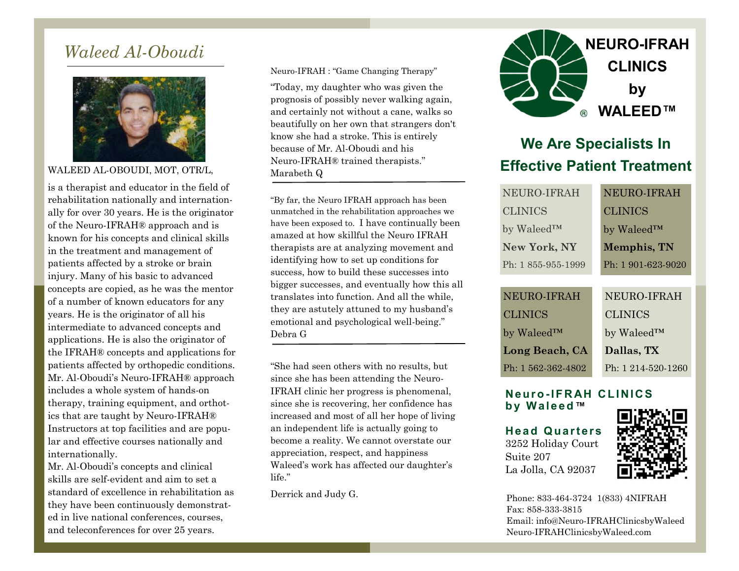### *Waleed Al-Oboudi*



WALEED AL-OBOUDI, MOT, OTR/L,

is a therapist and educator in the field of rehabilitation nationally and internationally for over 30 years. He is the originator of the Neuro-IFRAH® approach and is known for his concepts and clinical skills in the treatment and management of patients affected by a stroke or brain injury. Many of his basic to advanced concepts are copied, as he was the mentor of a number of known educators for any years. He is the originator of all his intermediate to advanced concepts and applications. He is also the originator of the IFRAH® concepts and applications for patients affected by orthopedic conditions. Mr. Al-Oboudi's Neuro-IFRAH® approach includes a whole system of hands-on therapy, training equipment, and orthotics that are taught by Neuro-IFRAH® Instructors at top facilities and are popular and effective courses nationally and internationally.

Mr. Al-Oboudi's concepts and clinical skills are self-evident and aim to set a standard of excellence in rehabilitation as they have been continuously demonstrated in live national conferences, courses, and teleconferences for over 25 years.

Neuro-IFRAH : "Game Changing Therapy"

"Today, my daughter who was given the prognosis of possibly never walking again, and certainly not without a cane, walks so beautifully on her own that strangers don't know she had a stroke. This is entirely because of Mr. Al-Oboudi and his Neuro-IFRAH® trained therapists." Marabeth Q

"By far, the Neuro IFRAH approach has been unmatched in the rehabilitation approaches we have been exposed to. I have continually been amazed at how skillful the Neuro IFRAH therapists are at analyzing movement and identifying how to set up conditions for success, how to build these successes into bigger successes, and eventually how this all translates into function. And all the while, they are astutely attuned to my husband's emotional and psychological well-being." Debra G

"She had seen others with no results, but since she has been attending the Neuro-IFRAH clinic her progress is phenomenal, since she is recovering, her confidence has increased and most of all her hope of living an independent life is actually going to become a reality. We cannot overstate our appreciation, respect, and happiness Waleed's work has affected our daughter's life."



# **We Are Specialists In Effective Patient Treatment**

|  | NEURO-IFRAH             |  | NEURO-IFRAH             |
|--|-------------------------|--|-------------------------|
|  | <b>CLINICS</b>          |  | <b>CLINICS</b>          |
|  | by Waleed™              |  | by Waleed <sup>TM</sup> |
|  | <b>New York, NY</b>     |  | <b>Memphis, TN</b>      |
|  | Ph: 1855-955-1999       |  | Ph: 1 901-623-9020      |
|  |                         |  |                         |
|  | NEURO-IFRAH             |  | NEURO-IFRAH             |
|  | <b>CLINICS</b>          |  | <b>CLINICS</b>          |
|  | by Waleed <sup>TM</sup> |  | by Waleed™              |
|  | Long Beach, CA          |  | Dallas, TX              |
|  | Ph: 1 562-362-4802      |  | Ph: $1214-520-1260$     |

#### **Ne ur o -I F R AH C L I NI C S b y W a l e e d™**

**He a d Q ua r te r s** 3252 Holiday Court Suite 207 La Jolla, CA 92037



Derrick and Judy G. Phone: 833-464-3724 1(833) 4NIFRAH Fax: 858-333-3815 Email: info@Neuro-IFRAHClinicsbyWaleed Neuro-IFRAHClinicsbyWaleed.com